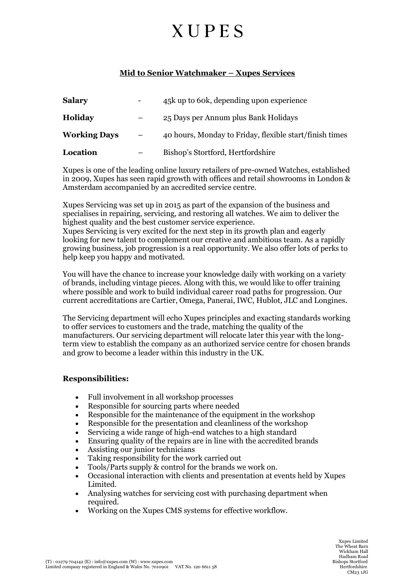## **XUPES**

## **Mid to Senior Watchmaker – Xupes Services**

| <b>Salary</b>       | 45k up to 60k, depending upon experience                |
|---------------------|---------------------------------------------------------|
| <b>Holiday</b>      | 25 Days per Annum plus Bank Holidays                    |
| <b>Working Days</b> | 40 hours, Monday to Friday, flexible start/finish times |
| Location            | Bishop's Stortford, Hertfordshire                       |

Xupes is one of the leading online luxury retailers of pre-owned Watches, established in 2009, Xupes has seen rapid growth with offices and retail showrooms in London & Amsterdam accompanied by an accredited service centre.

Xupes Servicing was set up in 2015 as part of the expansion of the business and specialises in repairing, servicing, and restoring all watches. We aim to deliver the highest quality and the best customer service experience.

Xupes Servicing is very excited for the next step in its growth plan and eagerly looking for new talent to complement our creative and ambitious team. As a rapidly growing business, job progression is a real opportunity. We also offer lots of perks to help keep you happy and motivated.

You will have the chance to increase your knowledge daily with working on a variety of brands, including vintage pieces. Along with this, we would like to offer training where possible and work to build individual career road paths for progression. Our current accreditations are Cartier, Omega, Panerai, IWC, Hublot, JLC and Longines.

The Servicing department will echo Xupes principles and exacting standards working to offer services to customers and the trade, matching the quality of the manufacturers. Our servicing department will relocate later this year with the longterm view to establish the company as an authorized service centre for chosen brands and grow to become a leader within this industry in the UK.

### **Responsibilities:**

- Full involvement in all workshop processes
- Responsible for sourcing parts where needed
- Responsible for the maintenance of the equipment in the workshop
- Responsible for the presentation and cleanliness of the workshop
- Servicing a wide range of high-end watches to a high standard
- Ensuring quality of the repairs are in line with the accredited brands
- Assisting our junior technicians
- Taking responsibility for the work carried out
- Tools/Parts supply & control for the brands we work on.
- Occasional interaction with clients and presentation at events held by Xupes Limited.
- Analysing watches for servicing cost with purchasing department when required.
- Working on the Xupes CMS systems for effective workflow.